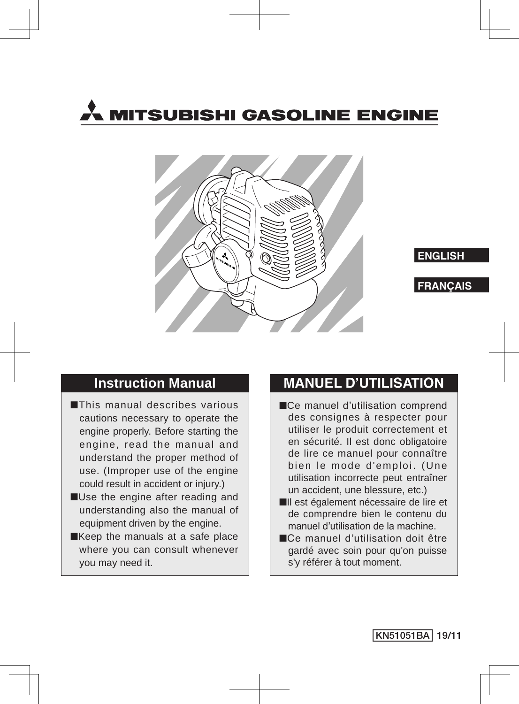





### **Instruction Manual**

- ■This manual describes various cautions necessary to operate the engine properly. Before starting the engine, read the manual and understand the proper method of use. (Improper use of the engine could result in accident or injury.)
- ■Use the engine after reading and understanding also the manual of equipment driven by the engine.
- ■Keep the manuals at a safe place where you can consult whenever you may need it.

### **MANUEL D'UTILISATION**

- ■Ce manuel d'utilisation comprend des consignes à respecter pour utiliser le produit correctement et en sécurité. Il est donc obligatoire de lire ce manuel pour connaître bien le mode d'emploi. (Une utilisation incorrecte peut entraîner un accident, une blessure, etc.)
- ■Il est également nécessaire de lire et de comprendre bien le contenu du manuel d'utilisation de la machine.
- ■Ce manuel d'utilisation doit être gardé avec soin pour qu'on puisse s'y référer à tout moment.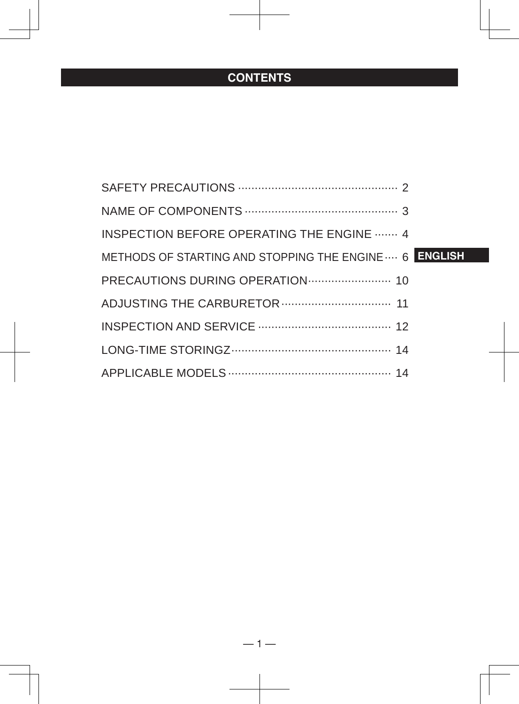### **CONTENTS**

| <b>INSPECTION BEFORE OPERATING THE ENGINE  4</b>       |
|--------------------------------------------------------|
| METHODS OF STARTING AND STOPPING THE ENGINE  6 ENGLISH |
| PRECAUTIONS DURING OPERATION  10                       |
|                                                        |
|                                                        |
|                                                        |
|                                                        |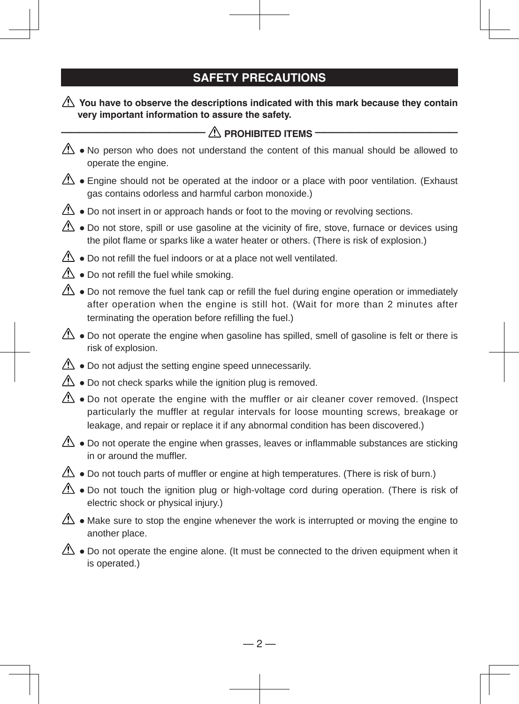### **SAFETY PRECAUTIONS**

#### You have to observe the descriptions indicated with this mark because they contain **very important information to assure the safety.**

| $\bigwedge$ prohibited items $\cdot$                                                                                                                                                                                                                                      |  |  |  |  |  |  |
|---------------------------------------------------------------------------------------------------------------------------------------------------------------------------------------------------------------------------------------------------------------------------|--|--|--|--|--|--|
| $\langle \cdot \rangle$ . No person who does not understand the content of this manual should be allowed to<br>operate the engine.                                                                                                                                        |  |  |  |  |  |  |
| $\langle \cdot \rangle$ • Engine should not be operated at the indoor or a place with poor ventilation. (Exhaust<br>gas contains odorless and harmful carbon monoxide.)                                                                                                   |  |  |  |  |  |  |
| $\mathbb{A}$ • Do not insert in or approach hands or foot to the moving or revolving sections.                                                                                                                                                                            |  |  |  |  |  |  |
| $\Delta$ • Do not store, spill or use gasoline at the vicinity of fire, stove, furnace or devices using<br>the pilot flame or sparks like a water heater or others. (There is risk of explosion.)                                                                         |  |  |  |  |  |  |
| $\mathbb{A}$ • Do not refill the fuel indoors or at a place not well ventilated.                                                                                                                                                                                          |  |  |  |  |  |  |
| $\Delta$ • Do not refill the fuel while smoking.                                                                                                                                                                                                                          |  |  |  |  |  |  |
| $\Delta$ • Do not remove the fuel tank cap or refill the fuel during engine operation or immediately<br>after operation when the engine is still hot. (Wait for more than 2 minutes after<br>terminating the operation before refilling the fuel.)                        |  |  |  |  |  |  |
| $\mathbb{A}$ • Do not operate the engine when gasoline has spilled, smell of gasoline is felt or there is<br>risk of explosion.                                                                                                                                           |  |  |  |  |  |  |
| $\triangle$ • Do not adjust the setting engine speed unnecessarily.                                                                                                                                                                                                       |  |  |  |  |  |  |
| $\triangle$ • Do not check sparks while the ignition plug is removed.                                                                                                                                                                                                     |  |  |  |  |  |  |
| $\Delta$ • Do not operate the engine with the muffler or air cleaner cover removed. (Inspect<br>particularly the muffler at regular intervals for loose mounting screws, breakage or<br>leakage, and repair or replace it if any abnormal condition has been discovered.) |  |  |  |  |  |  |
| $\mathbb{A}\rightarrow$ o Do not operate the engine when grasses, leaves or inflammable substances are sticking<br>in or around the muffler.                                                                                                                              |  |  |  |  |  |  |
| $\langle \cdot \rangle$ • Do not touch parts of muffler or engine at high temperatures. (There is risk of burn.)                                                                                                                                                          |  |  |  |  |  |  |
| $\Delta$ • Do not touch the ignition plug or high-voltage cord during operation. (There is risk of<br>electric shock or physical injury.)                                                                                                                                 |  |  |  |  |  |  |
| $\langle \cdot \rangle$ • Make sure to stop the engine whenever the work is interrupted or moving the engine to<br>another place.                                                                                                                                         |  |  |  |  |  |  |
| $\langle \cdot \rangle$ • Do not operate the engine alone. (It must be connected to the driven equipment when it<br>is operated.)                                                                                                                                         |  |  |  |  |  |  |
|                                                                                                                                                                                                                                                                           |  |  |  |  |  |  |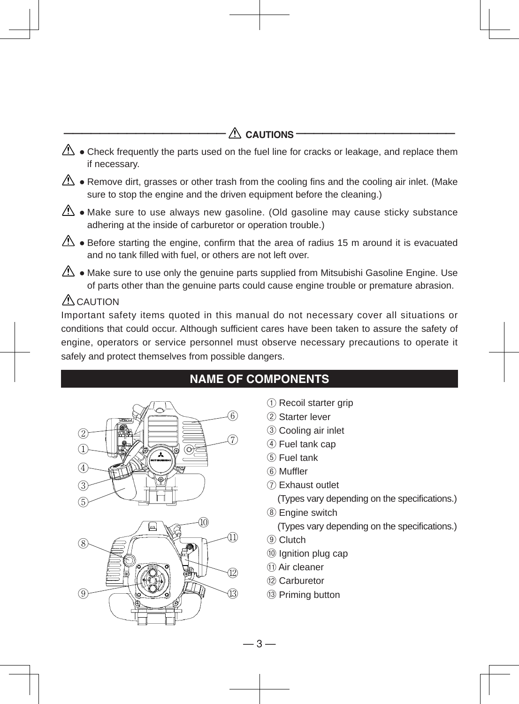### $\triangle$  **CAUTIONS**

- $\triangle$  Check frequently the parts used on the fuel line for cracks or leakage, and replace them if necessary.
- $\triangle$  Remove dirt, grasses or other trash from the cooling fins and the cooling air inlet. (Make sure to stop the engine and the driven equipment before the cleaning.)
- $\triangle$  Make sure to use always new gasoline. (Old gasoline may cause sticky substance adhering at the inside of carburetor or operation trouble.)
- $\mathbb{A}$  Before starting the engine, confirm that the area of radius 15 m around it is evacuated and no tank filled with fuel, or others are not left over.
- $\langle \cdot \rangle$  Make sure to use only the genuine parts supplied from Mitsubishi Gasoline Engine. Use of parts other than the genuine parts could cause engine trouble or premature abrasion.

### $\triangle$  CAUTION

Important safety items quoted in this manual do not necessary cover all situations or conditions that could occur. Although sufficient cares have been taken to assure the safety of engine, operators or service personnel must observe necessary precautions to operate it safely and protect themselves from possible dangers.





### **NAME OF COMPONENTS**

- ① Recoil starter grip
- ② Starter lever
- ③ Cooling air inlet
- ④ Fuel tank cap
- ⑤ Fuel tank
- ⑥ Muffler
- ⑦ Exhaust outlet

(Types vary depending on the specifications.)

⑧ Engine switch

(Types vary depending on the specifications.)

- ⑨ Clutch
- ⑩ Ignition plug cap
- ⑪ Air cleaner
- ⑫ Carburetor
- ⑬ Priming button

— 3 —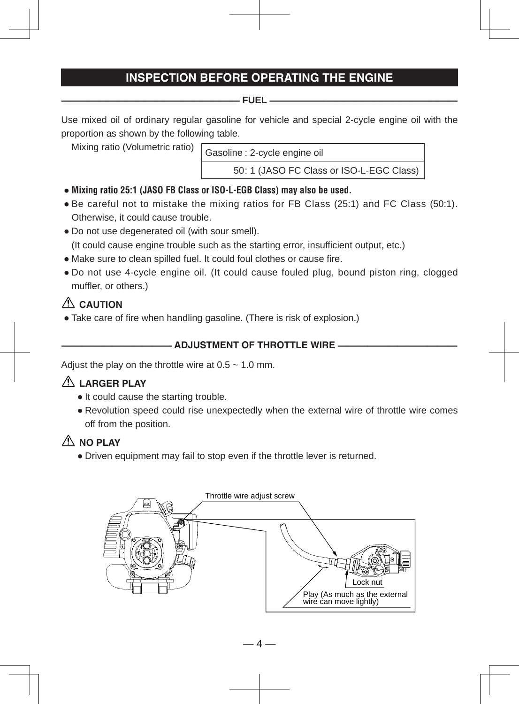### **INSPECTION BEFORE OPERATING THE ENGINE**

#### **——————————————————— FUEL ————————————————————**

Use mixed oil of ordinary regular gasoline for vehicle and special 2-cycle engine oil with the proportion as shown by the following table.

Mixing ratio (Volumetric ratio)

Gasoline : 2-cycle engine oil

50 : 1 (JASO FC Class or ISO-L-EGC Class)

- **Mixing ratio 25:1 (JASO FB Class or ISO-L-EGB Class) may also be used.**
- Be careful not to mistake the mixing ratios for FB Class (25:1) and FC Class (50:1). Otherwise, it could cause trouble.
- Do not use degenerated oil (with sour smell). (It could cause engine trouble such as the starting error, insufficient output, etc.)
- Make sure to clean spilled fuel. It could foul clothes or cause fire.
- Do not use 4-cycle engine oil. (It could cause fouled plug, bound piston ring, clogged muffler, or others.)

### **CAUTION**

• Take care of fire when handling gasoline. (There is risk of explosion.)

#### **——————————— ADJUSTMENT OF THROTTLE WIRE ————————————**

Adjust the play on the throttle wire at  $0.5 \sim 1.0$  mm.

#### **LARGER PLAY**

- It could cause the starting trouble.
- Revolution speed could rise unexpectedly when the external wire of throttle wire comes off from the position.

### $\triangle$  NO PLAY

● Driven equipment may fail to stop even if the throttle lever is returned.

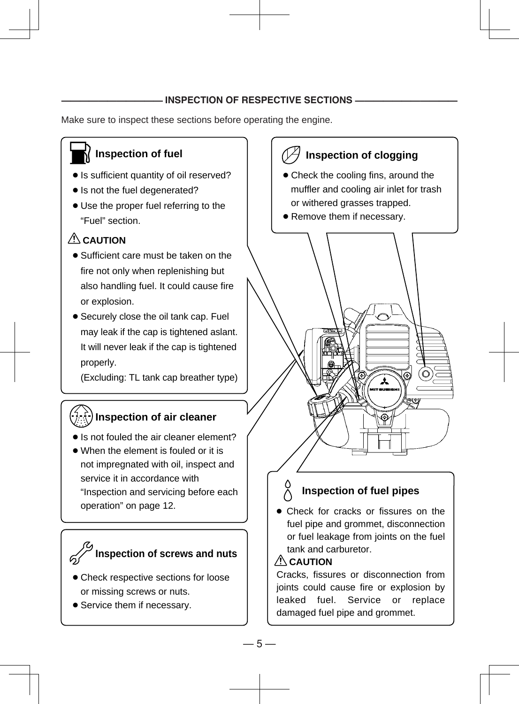#### **INSPECTION OF RESPECTIVE SECTIONS -**

Make sure to inspect these sections before operating the engine.

### **Inspection of fuel**

- Is sufficient quantity of oil reserved?
- Is not the fuel degenerated?
- Use the proper fuel referring to the "Fuel" section.

### **CAUTION**

- Sufficient care must be taken on the fire not only when replenishing but also handling fuel. It could cause fire or explosion.
- Securely close the oil tank cap. Fuel may leak if the cap is tightened aslant. It will never leak if the cap is tightened properly.

(Excluding: TL tank cap breather type)

### **Inspection of air cleaner**

- Is not fouled the air cleaner element?
- When the element is fouled or it is not impregnated with oil, inspect and service it in accordance with "Inspection and servicing before each operation" on page 12.

# **Inspection of screws and nuts**

- Check respective sections for loose or missing screws or nuts.
- Service them if necessary.

# **Inspection of clogging**

- Check the cooling fins, around the muffler and cooling air inlet for trash or withered grasses trapped.
- Remove them if necessary.



### **Inspection of fuel pipes**

● Check for cracks or fissures on the fuel pipe and grommet, disconnection or fuel leakage from joints on the fuel tank and carburetor.

#### **CAUTION**

Cracks, fissures or disconnection from joints could cause fire or explosion by leaked fuel. Service or replace damaged fuel pipe and grommet.

 $-5-$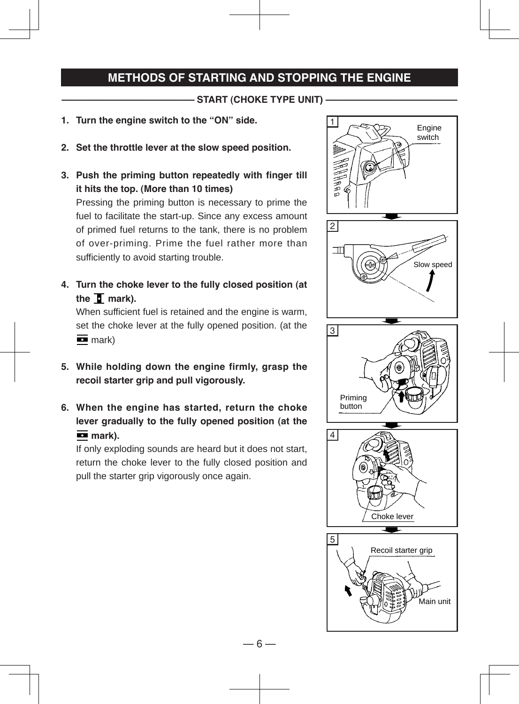### **METHODS OF STARTING AND STOPPING THE ENGINE**

**START (CHOKE TYPE UNIT)** 

- **1. Turn the engine switch to the "ON" side.**
- **2. Set the throttle lever at the slow speed position.**
- **3. Push the priming button repeatedly with finger till it hits the top. (More than 10 times)**

Pressing the priming button is necessary to prime the fuel to facilitate the start-up. Since any excess amount of primed fuel returns to the tank, there is no problem of over-priming. Prime the fuel rather more than sufficiently to avoid starting trouble.

**4. Turn the choke lever to the fully closed position (at**  the  $\overline{a}$  mark).

When sufficient fuel is retained and the engine is warm, set the choke lever at the fully opened position. (at the  $\overline{m}$  mark)

- **5. While holding down the engine firmly, grasp the recoil starter grip and pull vigorously.**
- **6. When the engine has started, return the choke lever gradually to the fully opened position (at the**   $\overline{m}$  mark).

If only exploding sounds are heard but it does not start, return the choke lever to the fully closed position and pull the starter grip vigorously once again.



— 6 —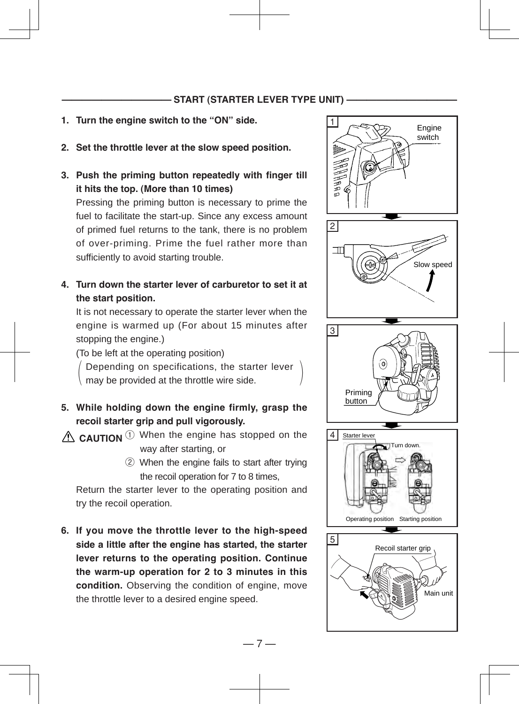#### **START (STARTER LEVER TYPE UNIT) -**

- **1. Turn the engine switch to the "ON" side.**
- **2. Set the throttle lever at the slow speed position.**
- **3. Push the priming button repeatedly with finger till it hits the top. (More than 10 times)**

Pressing the priming button is necessary to prime the fuel to facilitate the start-up. Since any excess amount of primed fuel returns to the tank, there is no problem of over-priming. Prime the fuel rather more than sufficiently to avoid starting trouble.

**4. Turn down the starter lever of carburetor to set it at the start position.**

It is not necessary to operate the starter lever when the engine is warmed up (For about 15 minutes after stopping the engine.)

(To be left at the operating position)

Depending on specifications, the starter lever  $\langle$  may be provided at the throttle wire side.  $\qquad \qquad$ 

**5. While holding down the engine firmly, grasp the recoil starter grip and pull vigorously.**

① When the engine has stopped on the **CAUTION**way after starting, or

> ② When the engine fails to start after trying the recoil operation for 7 to 8 times,

Return the starter lever to the operating position and try the recoil operation.

**6. If you move the throttle lever to the high-speed side a little after the engine has started, the starter lever returns to the operating position. Continue the warm-up operation for 2 to 3 minutes in this condition.** Observing the condition of engine, move the throttle lever to a desired engine speed.

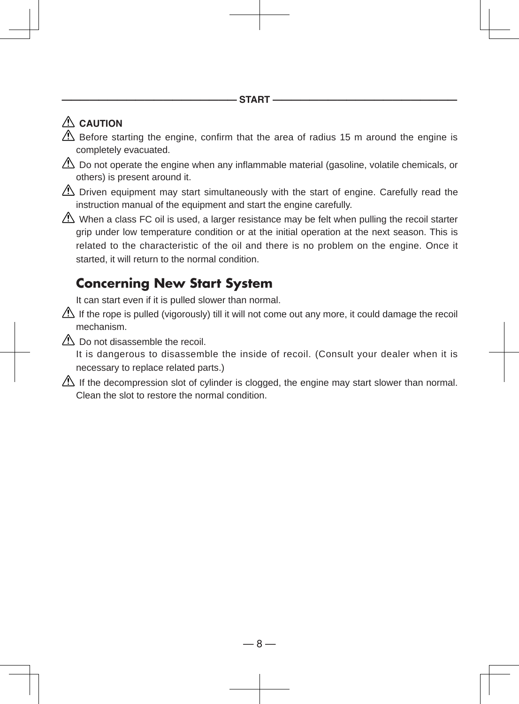### **CAUTION**

- $\Delta$  Before starting the engine, confirm that the area of radius 15 m around the engine is completely evacuated.
- $\triangle$  Do not operate the engine when any inflammable material (gasoline, volatile chemicals, or others) is present around it.
- $\Delta$  Driven equipment may start simultaneously with the start of engine. Carefully read the instruction manual of the equipment and start the engine carefully.
- When a class FC oil is used, a larger resistance may be felt when pulling the recoil starter grip under low temperature condition or at the initial operation at the next season. This is related to the characteristic of the oil and there is no problem on the engine. Once it started, it will return to the normal condition.

# **Concerning New Start System**

It can start even if it is pulled slower than normal.

- If the rope is pulled (vigorously) till it will not come out any more, it could damage the recoil mechanism.
- $\Lambda$  Do not disassemble the recoil.

It is dangerous to disassemble the inside of recoil. (Consult your dealer when it is necessary to replace related parts.)

 $\Delta$  If the decompression slot of cylinder is clogged, the engine may start slower than normal. Clean the slot to restore the normal condition.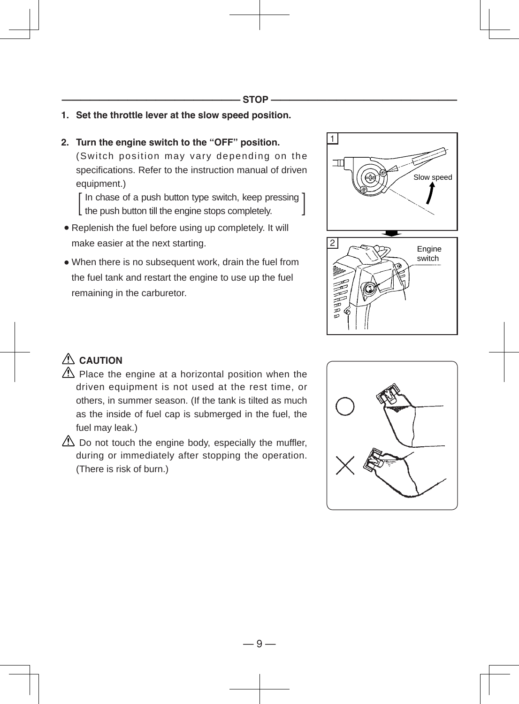- **1. Set the throttle lever at the slow speed position.**
- **2. Turn the engine switch to the "OFF" position.** (Switch position may vary depending on the specifications. Refer to the instruction manual of driven equipment.)

[In chase of a push button type switch, keep pressing ]<br>the push button till the engine stops completely. the push button till the engine stops completely.

- Replenish the fuel before using up completely. It will make easier at the next starting.
- When there is no subsequent work, drain the fuel from the fuel tank and restart the engine to use up the fuel remaining in the carburetor.



### **CAUTION**

- $\triangle$  Place the engine at a horizontal position when the driven equipment is not used at the rest time, or others, in summer season. (If the tank is tilted as much as the inside of fuel cap is submerged in the fuel, the fuel may leak.)
- $\triangle$  Do not touch the engine body, especially the muffler, during or immediately after stopping the operation. (There is risk of burn.)

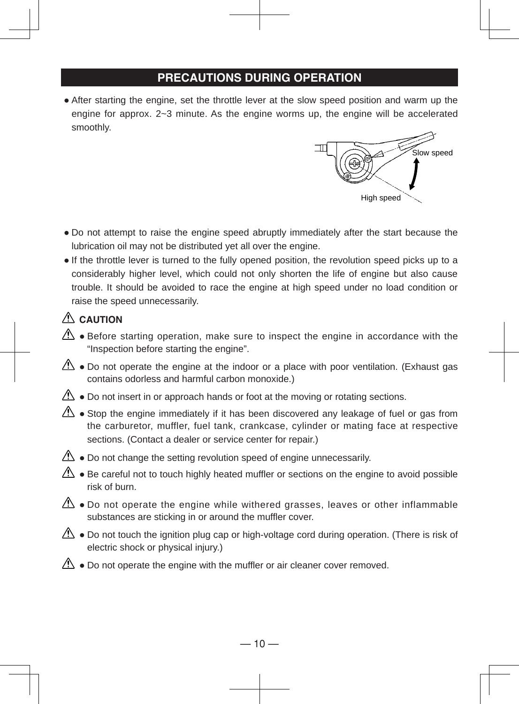### **PRECAUTIONS DURING OPERATION**

● After starting the engine, set the throttle lever at the slow speed position and warm up the engine for approx. 2~3 minute. As the engine worms up, the engine will be accelerated smoothly.



- Do not attempt to raise the engine speed abruptly immediately after the start because the lubrication oil may not be distributed yet all over the engine.
- If the throttle lever is turned to the fully opened position, the revolution speed picks up to a considerably higher level, which could not only shorten the life of engine but also cause trouble. It should be avoided to race the engine at high speed under no load condition or raise the speed unnecessarily.

### **CAUTION**

- $\triangle$  Before starting operation, make sure to inspect the engine in accordance with the "Inspection before starting the engine".
- $\Delta$  Do not operate the engine at the indoor or a place with poor ventilation. (Exhaust gas contains odorless and harmful carbon monoxide.)
- $\Delta$  Do not insert in or approach hands or foot at the moving or rotating sections.
- $\langle \cdot \rangle$  Stop the engine immediately if it has been discovered any leakage of fuel or gas from the carburetor, muffler, fuel tank, crankcase, cylinder or mating face at respective sections. (Contact a dealer or service center for repair.)
- $\triangle$  Do not change the setting revolution speed of engine unnecessarily.
- $\triangle$   $\bullet$  Be careful not to touch highly heated muffler or sections on the engine to avoid possible risk of burn.
- $\mathbb{A}\rightarrow$  Do not operate the engine while withered grasses, leaves or other inflammable substances are sticking in or around the muffler cover.
- $\triangle$  Do not touch the ignition plug cap or high-voltage cord during operation. (There is risk of electric shock or physical injury.)
- $\langle \cdot \rangle$  Do not operate the engine with the muffler or air cleaner cover removed.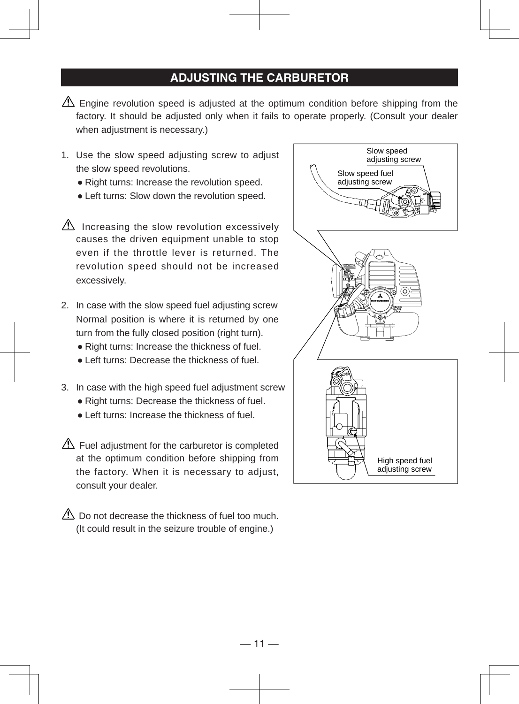#### **ADJUSTING THE CARBURETOR**

- $\triangle$  Engine revolution speed is adjusted at the optimum condition before shipping from the factory. It should be adjusted only when it fails to operate properly. (Consult your dealer when adjustment is necessary.)
- 1. Use the slow speed adjusting screw to adjust the slow speed revolutions.
	- Right turns: Increase the revolution speed.
	- Left turns: Slow down the revolution speed.
- $\triangle$  Increasing the slow revolution excessively causes the driven equipment unable to stop even if the throttle lever is returned. The revolution speed should not be increased excessively.
- 2. In case with the slow speed fuel adjusting screw Normal position is where it is returned by one turn from the fully closed position (right turn).
	- Right turns: Increase the thickness of fuel.
	- Left turns: Decrease the thickness of fuel.
- 3. In case with the high speed fuel adjustment screw
	- Right turns: Decrease the thickness of fuel.
	- Left turns: Increase the thickness of fuel.
- $\triangle$  Fuel adjustment for the carburetor is completed at the optimum condition before shipping from the factory. When it is necessary to adjust, consult your dealer.

 $\triangle$  Do not decrease the thickness of fuel too much. (It could result in the seizure trouble of engine.)

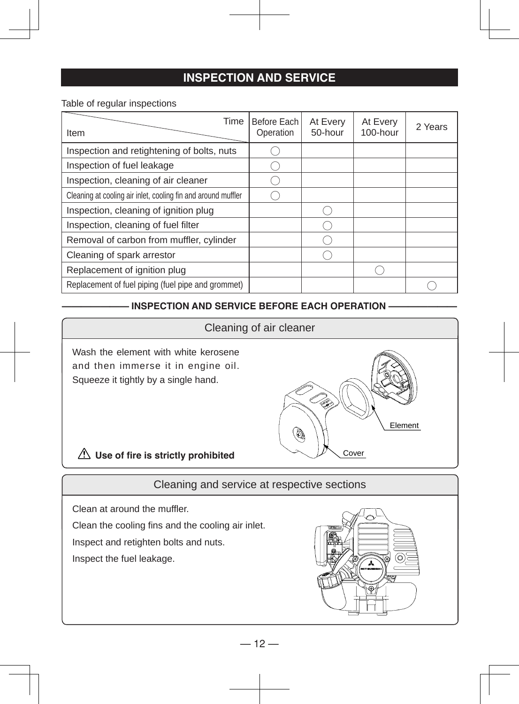### **INSPECTION AND SERVICE**

Table of regular inspections

| Time<br>Item                                                  | Before Each<br>Operation | At Every<br>50-hour | At Every<br>100-hour | 2 Years |
|---------------------------------------------------------------|--------------------------|---------------------|----------------------|---------|
| Inspection and retightening of bolts, nuts                    |                          |                     |                      |         |
| Inspection of fuel leakage                                    |                          |                     |                      |         |
| Inspection, cleaning of air cleaner                           |                          |                     |                      |         |
| Cleaning at cooling air inlet, cooling fin and around muffler |                          |                     |                      |         |
| Inspection, cleaning of ignition plug                         |                          |                     |                      |         |
| Inspection, cleaning of fuel filter                           |                          |                     |                      |         |
| Removal of carbon from muffler, cylinder                      |                          |                     |                      |         |
| Cleaning of spark arrestor                                    |                          |                     |                      |         |
| Replacement of ignition plug                                  |                          |                     |                      |         |
| Replacement of fuel piping (fuel pipe and grommet)            |                          |                     |                      |         |

#### $\blacksquare$  INSPECTION AND SERVICE BEFORE EACH OPERATION **—**

#### Cleaning of air cleaner

Wash the element with white kerosene and then immerse it in engine oil. Squeeze it tightly by a single hand.



**Use of fire is strictly prohibited**

Cleaning and service at respective sections

Clean at around the muffler.

Clean the cooling fins and the cooling air inlet.

Inspect and retighten bolts and nuts.

Inspect the fuel leakage.

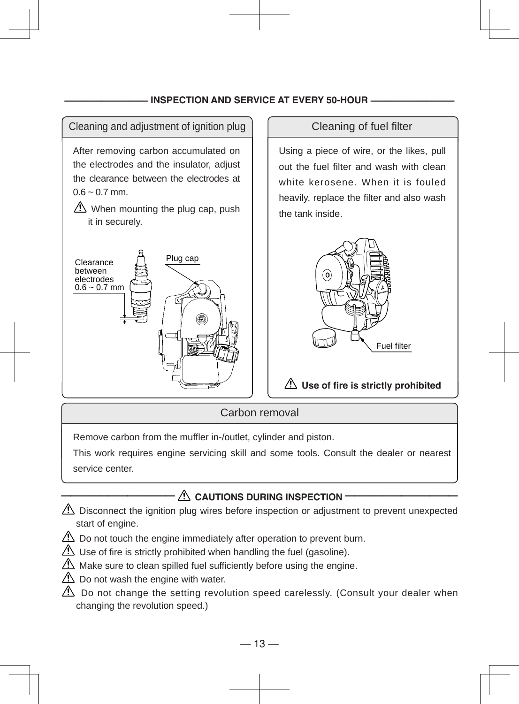#### **INSPECTION AND SERVICE AT EVERY 50-HOUR -**



Using a piece of wire, or the likes, pull out the fuel filter and wash with clean white kerosene. When it is fouled heavily, replace the filter and also wash the tank inside.



#### **Use of fire is strictly prohibited**

Carbon removal

Remove carbon from the muffler in-/outlet, cylinder and piston.

This work requires engine servicing skill and some tools. Consult the dealer or nearest service center.

### $\triangle$  CAUTIONS DURING INSPECTION **·**

- $\triangle$  Disconnect the ignition plug wires before inspection or adjustment to prevent unexpected start of engine.
- $\Delta$  Do not touch the engine immediately after operation to prevent burn.
- $\Delta$  Use of fire is strictly prohibited when handling the fuel (gasoline).
- $\triangle$  Make sure to clean spilled fuel sufficiently before using the engine.
- $\triangle$  Do not wash the engine with water.
- $\triangle$  Do not change the setting revolution speed carelessly. (Consult your dealer when changing the revolution speed.)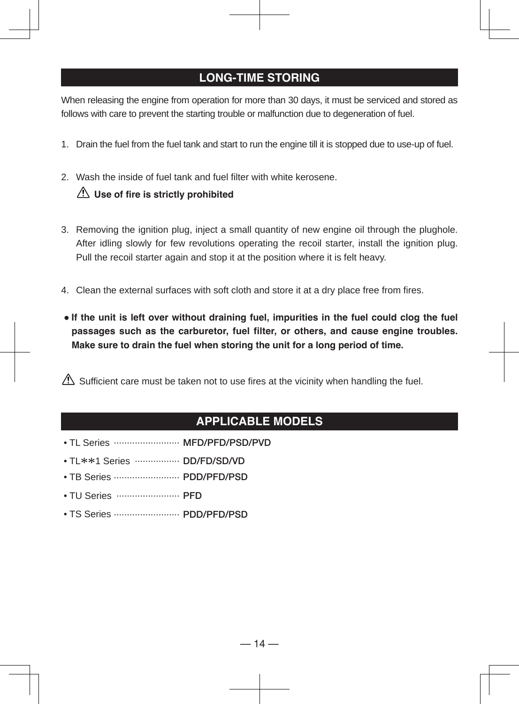#### **LONG-TIME STORING**

When releasing the engine from operation for more than 30 days, it must be serviced and stored as follows with care to prevent the starting trouble or malfunction due to degeneration of fuel.

- 1. Drain the fuel from the fuel tank and start to run the engine till it is stopped due to use-up of fuel.
- 2. Wash the inside of fuel tank and fuel filter with white kerosene.

#### **Use of fire is strictly prohibited**

- 3. Removing the ignition plug, inject a small quantity of new engine oil through the plughole. After idling slowly for few revolutions operating the recoil starter, install the ignition plug. Pull the recoil starter again and stop it at the position where it is felt heavy.
- 4. Clean the external surfaces with soft cloth and store it at a dry place free from fires.
- **If the unit is left over without draining fuel, impurities in the fuel could clog the fuel passages such as the carburetor, fuel filter, or others, and cause engine troubles. Make sure to drain the fuel when storing the unit for a long period of time.**

 $\triangle$  Sufficient care must be taken not to use fires at the vicinity when handling the fuel.

### **APPLICABLE MODELS**

- TL Series ......................... **MFD/PFD/PSD/PVD**
- TL\*\*1 Series ................. **DD/FD/SD/VD**
- TB Series ......................... **PDD/PFD/PSD**
- TU Series ........................ **PFD**
- TS Series ......................... **PDD/PFD/PSD**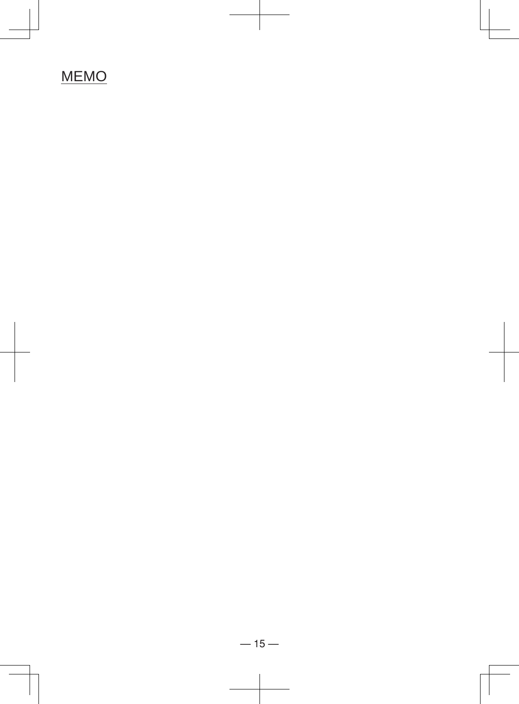# MEMO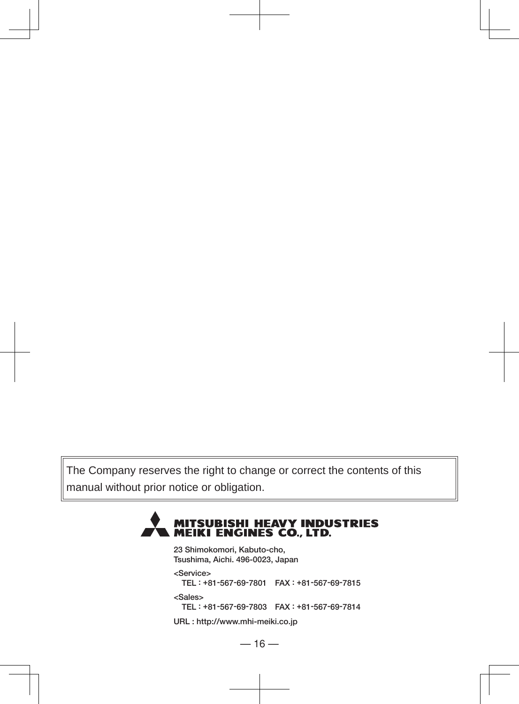The Company reserves the right to change or correct the contents of this manual without prior notice or obligation.

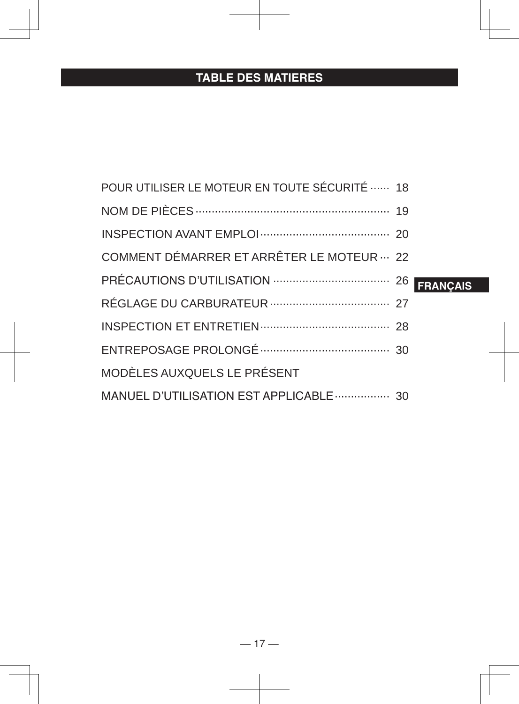# **TABLE DES MATIERES**

| POUR UTILISER LE MOTEUR EN TOUTE SÉCURITÉ  18 |  |
|-----------------------------------------------|--|
|                                               |  |
|                                               |  |
| COMMENT DÉMARRER ET ARRÊTER LE MOTEUR  22     |  |
|                                               |  |
|                                               |  |
|                                               |  |
|                                               |  |
| MODÈLES AUXQUELS LE PRÉSENT                   |  |
| MANUEL D'UTILISATION EST APPLICABLE  30       |  |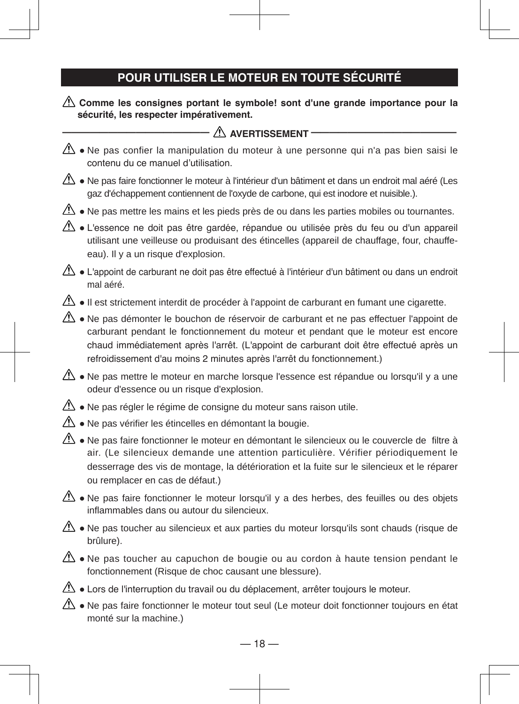# **POUR UTILISER LE MOTEUR EN TOUTE SÉCURITÉ**

#### **Comme les consignes portant le symbole! sont d'une grande importance pour la sécurité, les respecter impérativement.**

| $\bigtriangleup$ avertissement -                                                                                                                                                                                                                                                                                                               |
|------------------------------------------------------------------------------------------------------------------------------------------------------------------------------------------------------------------------------------------------------------------------------------------------------------------------------------------------|
| Ne pas confier la manipulation du moteur à une personne qui n'a pas bien saisi le<br>contenu du ce manuel d'utilisation.                                                                                                                                                                                                                       |
| Ne pas faire fonctionner le moteur à l'intérieur d'un bâtiment et dans un endroit mal aéré (Les<br>gaz d'échappement contiennent de l'oxyde de carbone, qui est inodore et nuisible.).                                                                                                                                                         |
| $\langle \cdot \rangle$ • Ne pas mettre les mains et les pieds près de ou dans les parties mobiles ou tournantes.                                                                                                                                                                                                                              |
| $\Delta$ • L'essence ne doit pas être gardée, répandue ou utilisée près du feu ou d'un appareil<br>utilisant une veilleuse ou produisant des étincelles (appareil de chauffage, four, chauffe-<br>eau). Il y a un risque d'explosion.                                                                                                          |
| L'appoint de carburant ne doit pas être effectué à l'intérieur d'un bâtiment ou dans un endroit<br>mal aéré.                                                                                                                                                                                                                                   |
| $\langle \cdot \rangle$ • Il est strictement interdit de procéder à l'appoint de carburant en fumant une cigarette.                                                                                                                                                                                                                            |
| Ne pas démonter le bouchon de réservoir de carburant et ne pas effectuer l'appoint de<br>carburant pendant le fonctionnement du moteur et pendant que le moteur est encore<br>chaud immédiatement après l'arrêt. (L'appoint de carburant doit être effectué après un<br>refroidissement d'au moins 2 minutes après l'arrêt du fonctionnement.) |
| Ne pas mettre le moteur en marche lorsque l'essence est répandue ou lorsqu'il y a une<br>odeur d'essence ou un risque d'explosion.                                                                                                                                                                                                             |
| Ne pas régler le régime de consigne du moteur sans raison utile.                                                                                                                                                                                                                                                                               |
| $\mathbb{A}$ • Ne pas vérifier les étincelles en démontant la bougie.                                                                                                                                                                                                                                                                          |
| $\Delta$ • Ne pas faire fonctionner le moteur en démontant le silencieux ou le couvercle de filtre à<br>air. (Le silencieux demande une attention particulière. Vérifier périodiquement le<br>desserrage des vis de montage, la détérioration et la fuite sur le silencieux et le réparer<br>ou remplacer en cas de défaut.)                   |
| $\Delta$ • Ne pas faire fonctionner le moteur lorsqu'il y a des herbes, des feuilles ou des objets<br>inflammables dans ou autour du silencieux.                                                                                                                                                                                               |
| $\Delta$ • Ne pas toucher au silencieux et aux parties du moteur lorsqu'ils sont chauds (risque de<br>brûlure).                                                                                                                                                                                                                                |
| $\mathbb{A}$ • Ne pas toucher au capuchon de bougie ou au cordon à haute tension pendant le<br>fonctionnement (Risque de choc causant une blessure).                                                                                                                                                                                           |
| $\langle \cdot \rangle$ • Lors de l'interruption du travail ou du déplacement, arrêter toujours le moteur.                                                                                                                                                                                                                                     |
| $\Delta$ • Ne pas faire fonctionner le moteur tout seul (Le moteur doit fonctionner toujours en état                                                                                                                                                                                                                                           |

monté sur la machine.)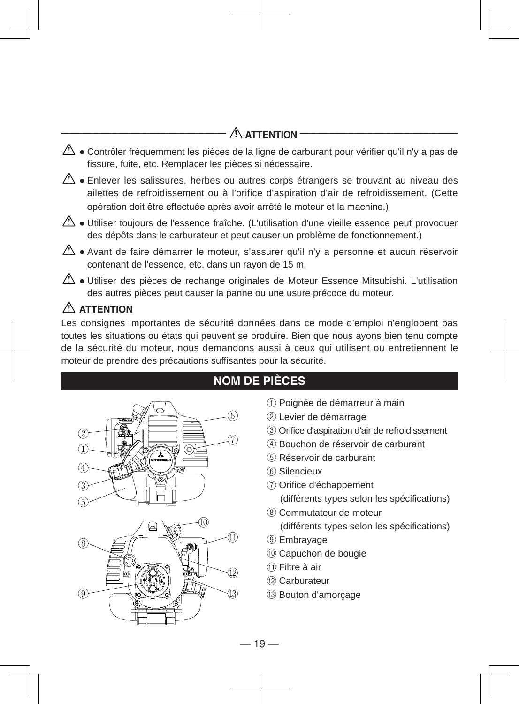### $\triangle$  attention

- $\triangle$  Contrôler fréquemment les pièces de la ligne de carburant pour vérifier qu'il n'y a pas de fissure, fuite, etc. Remplacer les pièces si nécessaire.
- $\triangle$  Enlever les salissures, herbes ou autres corps étrangers se trouvant au niveau des ailettes de refroidissement ou à l'orifice d'aspiration d'air de refroidissement. (Cette opération doit être effectuée après avoir arrêté le moteur et la machine.)
- $\langle \mathbf{A} \rangle$  Utiliser toujours de l'essence fraîche. (L'utilisation d'une vieille essence peut provoquer des dépôts dans le carburateur et peut causer un problème de fonctionnement.)
- $\triangle$  Avant de faire démarrer le moteur, s'assurer qu'il n'y a personne et aucun réservoir contenant de l'essence, etc. dans un rayon de 15 m.
- $\langle \mathbf{r} \rangle$  Utiliser des pièces de rechange originales de Moteur Essence Mitsubishi. L'utilisation des autres pièces peut causer la panne ou une usure précoce du moteur.

### **ATTENTION**

Les consignes importantes de sécurité données dans ce mode d'emploi n'englobent pas toutes les situations ou états qui peuvent se produire. Bien que nous ayons bien tenu compte de la sécurité du moteur, nous demandons aussi à ceux qui utilisent ou entretiennent le moteur de prendre des précautions suffisantes pour la sécurité.





### **NOM DE PIÈCES**

- ① Poignée de démarreur à main
- ② Levier de démarrage
- ③ Orifice d'aspiration d'air de refroidissement
- ④ Bouchon de réservoir de carburant
- ⑤ Réservoir de carburant
- ⑥ Silencieux
- ⑦ Orifice d'échappement (différents types selon les spécifications)
- ⑧ Commutateur de moteur
	- (différents types selon les spécifications)
- ⑨ Embrayage
- ⑩ Capuchon de bougie
- ⑪ Filtre à air
- ⑫ Carburateur
- ⑬ Bouton d'amorçage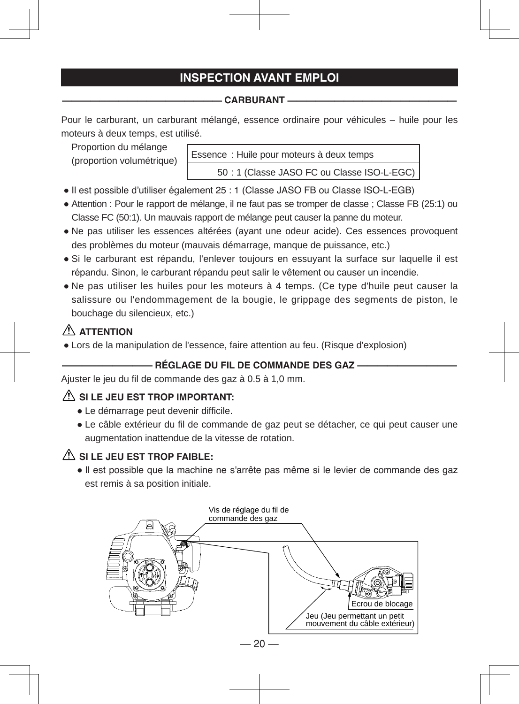### **INSPECTION AVANT EMPLOI**

#### **————————————————— CARBURANT ——————————————————**

Pour le carburant, un carburant mélangé, essence ordinaire pour véhicules – huile pour les moteurs à deux temps, est utilisé.

Proportion du mélange (proportion volumétrique)

Essence : Huile pour moteurs à deux temps 50 : 1 (Classe JASO FC ou Classe ISO-L-EGC)

- Il est possible d'utiliser également 25 : 1 (Classe JASO FB ou Classe ISO-L-EGB)
- Attention : Pour le rapport de mélange, il ne faut pas se tromper de classe ; Classe FB (25:1) ou Classe FC (50:1). Un mauvais rapport de mélange peut causer la panne du moteur.
- Ne pas utiliser les essences altérées (ayant une odeur acide). Ces essences provoquent des problèmes du moteur (mauvais démarrage, manque de puissance, etc.)
- Si le carburant est répandu, l'enlever toujours en essuyant la surface sur laquelle il est répandu. Sinon, le carburant répandu peut salir le vêtement ou causer un incendie.
- Ne pas utiliser les huiles pour les moteurs à 4 temps. (Ce type d'huile peut causer la salissure ou l'endommagement de la bougie, le grippage des segments de piston, le bouchage du silencieux, etc.)

### **ATTENTION**

● Lors de la manipulation de l'essence, faire attention au feu. (Risque d'explosion)

#### **————————— RÉGLAGE DU FIL DE COMMANDE DES GAZ ——————————**

Ajuster le jeu du fil de commande des gaz à 0.5 à 1,0 mm.

#### $\triangle$  SI LE JEU EST TROP IMPORTANT:

- Le démarrage peut devenir difficile.
- Le câble extérieur du fil de commande de gaz peut se détacher, ce qui peut causer une augmentation inattendue de la vitesse de rotation.

#### $\triangle$  SI LE JEU EST TROP FAIBLE:

● Il est possible que la machine ne s'arrête pas même si le levier de commande des gaz est remis à sa position initiale.

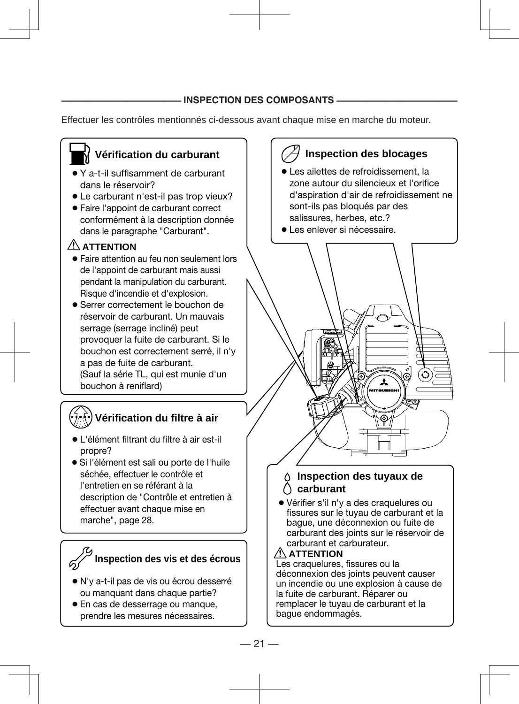#### **INSPECTION DES COMPOSANTS -**

Effectuer les contrôles mentionnés ci-dessous avant chaque mise en marche du moteur.

### **Vérification du carburant**

- Y a-t-il suffisamment de carburant dans le réservoir?
- Le carburant n'est-il pas trop vieux?
- Faire l'appoint de carburant correct conformément à la description donnée dans le paragraphe "Carburant".

### **ATTENTION**

- Faire attention au feu non seulement lors de l'appoint de carburant mais aussi pendant la manipulation du carburant. Risque d'incendie et d'explosion.
- Serrer correctement le bouchon de réservoir de carburant. Un mauvais serrage (serrage incliné) peut provoquer la fuite de carburant. Si le bouchon est correctement serré, il n'y a pas de fuite de carburant. (Sauf la série TL, qui est munie d'un bouchon à reniflard)

### **Vérification du filtre à air**

- L'élément filtrant du filtre à air est-il propre?
- Si l'élément est sali ou porte de l'huile séchée, effectuer le contrôle et l'entretien en se référant à la description de "Contrôle et entretien à effectuer avant chaque mise en marche", page 28.



#### **Inspection des vis et des écrous**

- N'y a-t-il pas de vis ou écrou desserré ou manquant dans chaque partie?
- En cas de desserrage ou manque, prendre les mesures nécessaires.

### **Inspection des blocages**

- Les ailettes de refroidissement, la zone autour du silencieux et l'orifice d'aspiration d'air de refroidissement ne sont-ils pas bloqués par des salissures, herbes, etc.?
- Les enlever si nécessaire.



#### **Inspection des tuyaux de carburant**

 ● Vérifier s'il n'y a des craquelures ou fissures sur le tuyau de carburant et la bague, une déconnexion ou fuite de carburant des joints sur le réservoir de carburant et carburateur.

#### **ATTENTION**

Les craquelures, fissures ou la déconnexion des joints peuvent causer un incendie ou une explosion à cause de la fuite de carburant. Réparer ou remplacer le tuyau de carburant et la bague endommagés.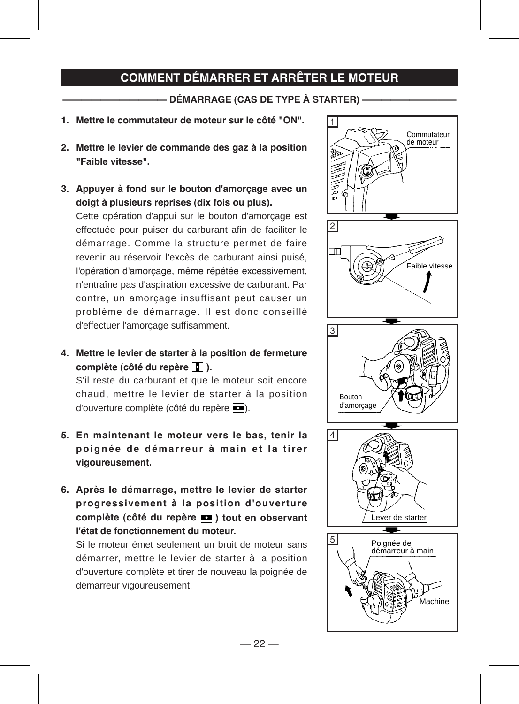### **COMMENT DÉMARRER ET ARRÊTER LE MOTEUR**

#### **——————————— DÉMARRAGE (CAS DE TYPE À STARTER) ——————————**

- **1. Mettre le commutateur de moteur sur le côté "ON".**
- **2. Mettre le levier de commande des gaz à la position "Faible vitesse".**
- **3. Appuyer à fond sur le bouton d'amorçage avec un doigt à plusieurs reprises (dix fois ou plus).**

Cette opération d'appui sur le bouton d'amorçage est effectuée pour puiser du carburant afin de faciliter le démarrage. Comme la structure permet de faire revenir au réservoir l'excès de carburant ainsi puisé, l'opération d'amorçage, même répétée excessivement, n'entraîne pas d'aspiration excessive de carburant. Par contre, un amorçage insuffisant peut causer un problème de démarrage. Il est donc conseillé d'effectuer l'amorçage suffisamment.

**4. Mettre le levier de starter à la position de fermeture complète (côté du repère ).**

S'il reste du carburant et que le moteur soit encore chaud, mettre le levier de starter à la position d'ouverture complète (côté du repère ).

- **5. En maintenant le moteur vers le bas, tenir la**  poignée de démarreur à main et la tirer **vigoureusement.**
- **6. Après le démarrage, mettre le levier de starter progressivement à la position d'ouverture complète (côté du repère ) tout en observant l'état de fonctionnement du moteur.**

Si le moteur émet seulement un bruit de moteur sans démarrer, mettre le levier de starter à la position d'ouverture complète et tirer de nouveau la poignée de démarreur vigoureusement.

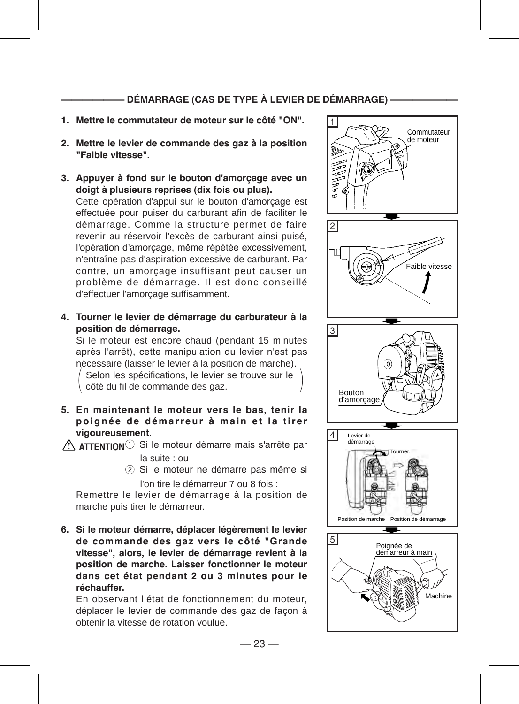#### **—————— DÉMARRAGE (CAS DE TYPE À LEVIER DE DÉMARRAGE) ——————**

- **1. Mettre le commutateur de moteur sur le côté "ON".**
- **2. Mettre le levier de commande des gaz à la position "Faible vitesse".**
- **3. Appuyer à fond sur le bouton d'amorçage avec un doigt à plusieurs reprises (dix fois ou plus).**

Cette opération d'appui sur le bouton d'amorçage est effectuée pour puiser du carburant afin de faciliter le démarrage. Comme la structure permet de faire revenir au réservoir l'excès de carburant ainsi puisé, l'opération d'amorçage, même répétée excessivement, n'entraîne pas d'aspiration excessive de carburant. Par contre, un amorçage insuffisant peut causer un problème de démarrage. Il est donc conseillé d'effectuer l'amorçage suffisamment.

**4. Tourner le levier de démarrage du carburateur à la position de démarrage.**

Si le moteur est encore chaud (pendant 15 minutes après l'arrêt), cette manipulation du levier n'est pas nécessaire (laisser le levier à la position de marche).

Selon les spécifications, le levier se trouve sur le  $\langle \text{ côt\'e du fil de commande des gaz. } \rangle$ 

**5. En maintenant le moteur vers le bas, tenir la**  poignée de démarreur à main et la tirer **vigoureusement.**

### ① Si le moteur démarre mais s'arrête par **ATTENTION**

la suite : ou

② Si le moteur ne démarre pas même si l'on tire le démarreur 7 ou 8 fois :

Remettre le levier de démarrage à la position de marche puis tirer le démarreur.

**6. Si le moteur démarre, déplacer légèrement le levier de commande des gaz vers le côté "Grande vitesse", alors, le levier de démarrage revient à la position de marche. Laisser fonctionner le moteur dans cet état pendant 2 ou 3 minutes pour le réchauffer.**

En observant l'état de fonctionnement du moteur, déplacer le levier de commande des gaz de façon à obtenir la vitesse de rotation voulue.

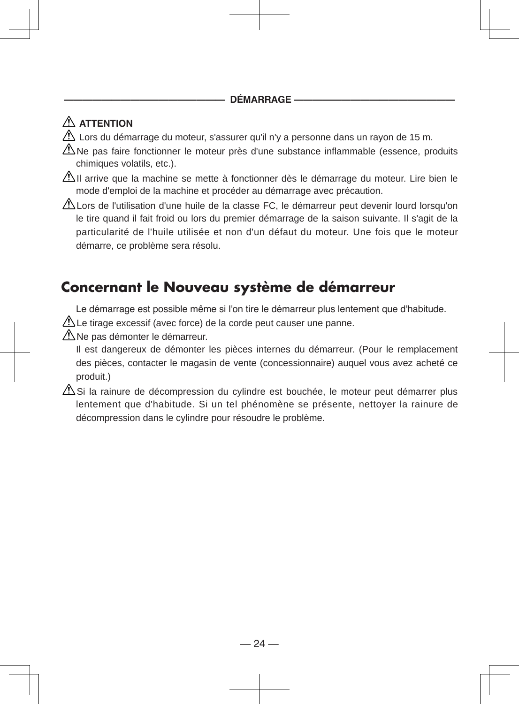**————————————————— DÉMARRAGE —————————————————**

### **ATTENTION**

 $\triangle$  Lors du démarrage du moteur, s'assurer qu'il n'y a personne dans un rayon de 15 m.

 $\triangle$ Ne pas faire fonctionner le moteur près d'une substance inflammable (essence, produits chimiques volatils, etc.).

 $\Delta$ Il arrive que la machine se mette à fonctionner dès le démarrage du moteur. Lire bien le mode d'emploi de la machine et procéder au démarrage avec précaution.

 $\Delta$ Lors de l'utilisation d'une huile de la classe FC, le démarreur peut devenir lourd lorsqu'on le tire quand il fait froid ou lors du premier démarrage de la saison suivante. Il s'agit de la particularité de l'huile utilisée et non d'un défaut du moteur. Une fois que le moteur démarre, ce problème sera résolu.

# **Concernant le Nouveau système de démarreur**

Le démarrage est possible même si l'on tire le démarreur plus lentement que d'habitude.

 $\triangle$  Le tirage excessif (avec force) de la corde peut causer une panne.

 $\triangle$ Ne pas démonter le démarreur.

Il est dangereux de démonter les pièces internes du démarreur. (Pour le remplacement des pièces, contacter le magasin de vente (concessionnaire) auquel vous avez acheté ce produit.)

 $\Delta$ Si la rainure de décompression du cylindre est bouchée, le moteur peut démarrer plus lentement que d'habitude. Si un tel phénomène se présente, nettoyer la rainure de décompression dans le cylindre pour résoudre le problème.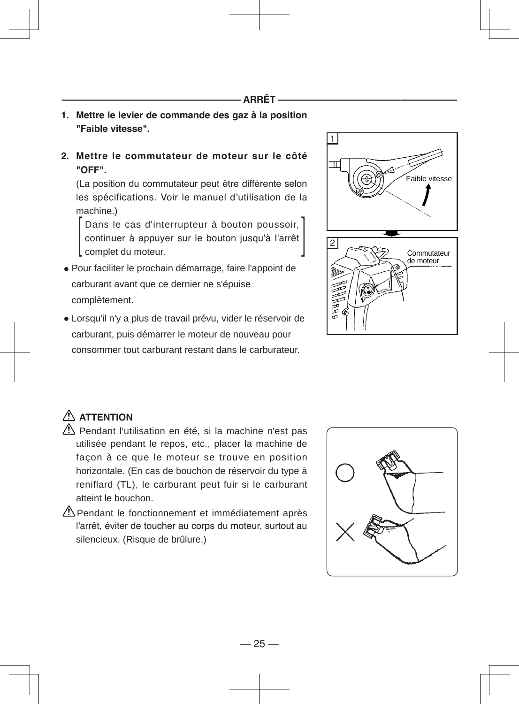- **1. Mettre le levier de commande des gaz à la position "Faible vitesse".**
- **2. Mettre le commutateur de moteur sur le côté "OFF".**

(La position du commutateur peut être différente selon les spécifications. Voir le manuel d'utilisation de la machine.)

Dans le cas d'interrupteur à bouton poussoir, continuer à appuyer sur le bouton jusqu'à l'arrêt complet du moteur. Dans le cas d'interrupteur à bouton poussoir,<br>continuer à appuyer sur le bouton jusqu'à l'arrêt<br>complet du moteur.

- Pour faciliter le prochain démarrage, faire l'appoint de carburant avant que ce dernier ne s'épuise complètement.
- Lorsqu'il n'y a plus de travail prévu, vider le réservoir de carburant, puis démarrer le moteur de nouveau pour consommer tout carburant restant dans le carburateur.



# **ATTENTION**

- $\triangle$  Pendant l'utilisation en été, si la machine n'est pas utilisée pendant le repos, etc., placer la machine de façon à ce que le moteur se trouve en position horizontale. (En cas de bouchon de réservoir du type à reniflard (TL), le carburant peut fuir si le carburant atteint le bouchon.
- $\triangle$ Pendant le fonctionnement et immédiatement après l'arrêt, éviter de toucher au corps du moteur, surtout au silencieux. (Risque de brûlure.)

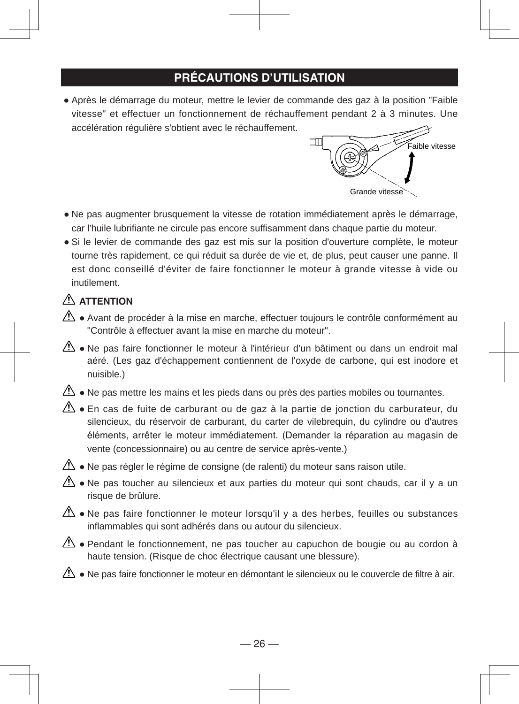### **PRÉCAUTIONS D'UTILISATION**

● Après le démarrage du moteur, mettre le levier de commande des gaz à la position "Faible vitesse" et effectuer un fonctionnement de réchauffement pendant 2 à 3 minutes. Une accélération régulière s'obtient avec le réchauffement.



- Ne pas augmenter brusquement la vitesse de rotation immédiatement après le démarrage, car l'huile lubrifiante ne circule pas encore suffisamment dans chaque partie du moteur.
- Si le levier de commande des gaz est mis sur la position d'ouverture complète, le moteur tourne très rapidement, ce qui réduit sa durée de vie et, de plus, peut causer une panne. Il est donc conseillé d'éviter de faire fonctionner le moteur à grande vitesse à vide ou inutilement.

#### **ATTENTION**

- $\triangle$  Avant de procéder à la mise en marche, effectuer toujours le contrôle conformément au "Contrôle à effectuer avant la mise en marche du moteur".
- $\mathbb{A}$  Ne pas faire fonctionner le moteur à l'intérieur d'un bâtiment ou dans un endroit mal aéré. (Les gaz d'échappement contiennent de l'oxyde de carbone, qui est inodore et nuisible.)
- $\Delta$  Ne pas mettre les mains et les pieds dans ou près des parties mobiles ou tournantes.
- $\triangle$  En cas de fuite de carburant ou de gaz à la partie de jonction du carburateur, du silencieux, du réservoir de carburant, du carter de vilebrequin, du cylindre ou d'autres éléments, arrêter le moteur immédiatement. (Demander la réparation au magasin de vente (concessionnaire) ou au centre de service après-vente.)
- $\sqrt{\phantom{a}}\!\!\!\!\!$  Ne pas régler le régime de consigne (de ralenti) du moteur sans raison utile.
- $\mathbb{A}$  Ne pas toucher au silencieux et aux parties du moteur qui sont chauds, car il y a un risque de brûlure.
- $\triangle$  Ne pas faire fonctionner le moteur lorsqu'il y a des herbes, feuilles ou substances inflammables qui sont adhérés dans ou autour du silencieux.
- $\Delta$  Pendant le fonctionnement, ne pas toucher au capuchon de bougie ou au cordon à haute tension. (Risque de choc électrique causant une blessure).
- $\triangle$  Ne pas faire fonctionner le moteur en démontant le silencieux ou le couvercle de filtre à air.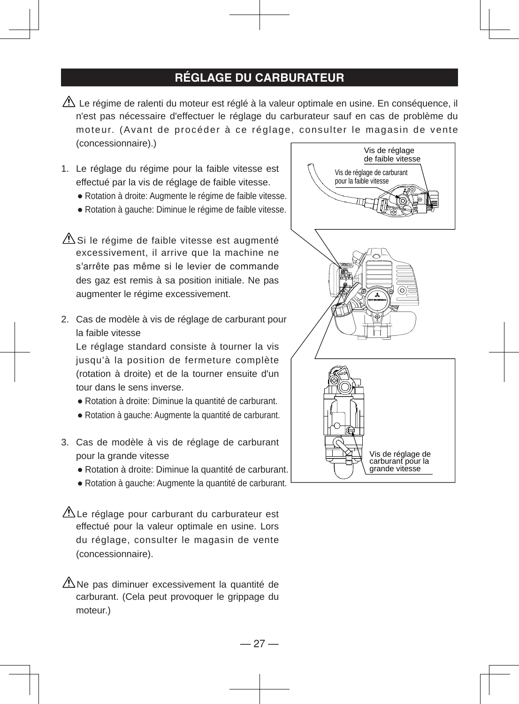### **RÉGLAGE DU CARBURATEUR**

- $\triangle$  Le régime de ralenti du moteur est réglé à la valeur optimale en usine. En conséquence, il n'est pas nécessaire d'effectuer le réglage du carburateur sauf en cas de problème du moteur. (Avant de procéder à ce réglage, consulter le magasin de vente (concessionnaire).)
- 1. Le réglage du régime pour la faible vitesse est effectué par la vis de réglage de faible vitesse.
	- Rotation à droite: Augmente le régime de faible vitesse.
	- Rotation à gauche: Diminue le régime de faible vitesse.
- $\triangle$ Si le régime de faible vitesse est augmenté excessivement, il arrive que la machine ne s'arrête pas même si le levier de commande des gaz est remis à sa position initiale. Ne pas augmenter le régime excessivement.
- 2. Cas de modèle à vis de réglage de carburant pour la faible vitesse

Le réglage standard consiste à tourner la vis jusqu'à la position de fermeture complète (rotation à droite) et de la tourner ensuite d'un tour dans le sens inverse.

- Rotation à droite: Diminue la quantité de carburant.
- Rotation à gauche: Augmente la quantité de carburant.
- 3. Cas de modèle à vis de réglage de carburant pour la grande vitesse
	- Rotation à droite: Diminue la quantité de carburant.
	- Rotation à gauche: Augmente la quantité de carburant.

ALe réglage pour carburant du carburateur est effectué pour la valeur optimale en usine. Lors du réglage, consulter le magasin de vente (concessionnaire).

 $\triangle$ Ne pas diminuer excessivement la quantité de carburant. (Cela peut provoquer le grippage du moteur.)

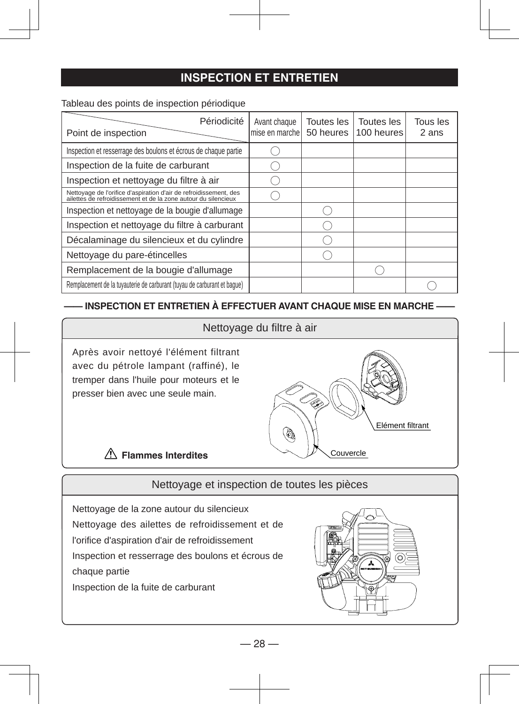### **INSPECTION ET ENTRETIEN**

Tableau des points de inspection périodique

| Périodicité<br>Point de inspection                                                                                                  | Avant chaque<br>mise en marche | Toutes les<br>50 heures | Toutes les<br>100 heures | Tous les<br>2 ans |
|-------------------------------------------------------------------------------------------------------------------------------------|--------------------------------|-------------------------|--------------------------|-------------------|
| Inspection et resserrage des boulons et écrous de chaque partie                                                                     |                                |                         |                          |                   |
| Inspection de la fuite de carburant                                                                                                 |                                |                         |                          |                   |
| Inspection et nettoyage du filtre à air                                                                                             |                                |                         |                          |                   |
| Nettoyage de l'orifice d'aspiration d'air de refroidissement, des<br>ailettes de refroidissement et de la zone autour du silencieux |                                |                         |                          |                   |
| Inspection et nettoyage de la bougie d'allumage                                                                                     |                                |                         |                          |                   |
| Inspection et nettoyage du filtre à carburant                                                                                       |                                |                         |                          |                   |
| Décalaminage du silencieux et du cylindre                                                                                           |                                |                         |                          |                   |
| Nettoyage du pare-étincelles                                                                                                        |                                |                         |                          |                   |
| Remplacement de la bougie d'allumage                                                                                                |                                |                         |                          |                   |
| Remplacement de la tuyauterie de carburant (tuyau de carburant et baque)                                                            |                                |                         |                          |                   |

#### **—— INSPECTION ET ENTRETIEN À EFFECTUER AVANT CHAQUE MISE EN MARCHE ——**

#### Nettoyage du filtre à air

Après avoir nettoyé l'élément filtrant avec du pétrole lampant (raffiné), le tremper dans l'huile pour moteurs et le presser bien avec une seule main.



#### **Flammes Interdites**

#### Nettoyage et inspection de toutes les pièces

Nettoyage de la zone autour du silencieux Nettoyage des ailettes de refroidissement et de l'orifice d'aspiration d'air de refroidissement Inspection et resserrage des boulons et écrous de chaque partie Inspection de la fuite de carburant

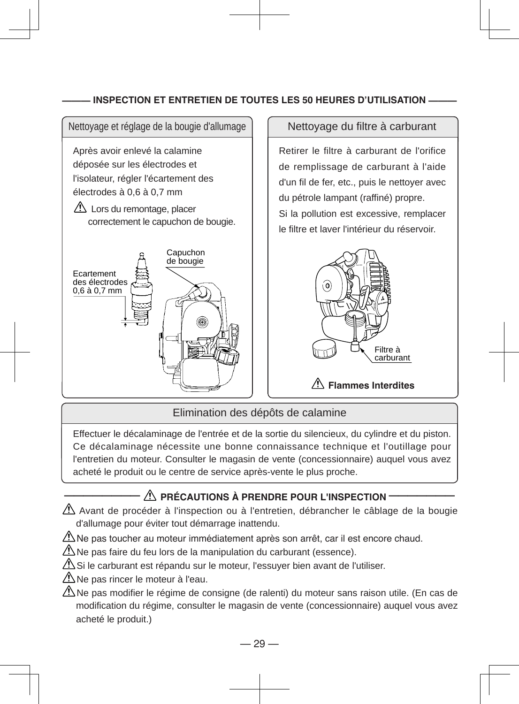#### **——— INSPECTION ET ENTRETIEN DE TOUTES LES 50 HEURES D'UTILISATION ———**



Elimination des dépôts de calamine

Effectuer le décalaminage de l'entrée et de la sortie du silencieux, du cylindre et du piston. Ce décalaminage nécessite une bonne connaissance technique et l'outillage pour l'entretien du moteur. Consulter le magasin de vente (concessionnaire) auquel vous avez acheté le produit ou le centre de service après-vente le plus proche.

#### **———————— PRÉCAUTIONS À PRENDRE POUR L'INSPECTION ———————**

 $\Delta$  Avant de procéder à l'inspection ou à l'entretien, débrancher le câblage de la bougie d'allumage pour éviter tout démarrage inattendu.

 $\bigtriangleup$ Ne pas toucher au moteur immédiatement après son arrêt, car il est encore chaud.

 $\Delta$ Ne pas faire du feu lors de la manipulation du carburant (essence).

 $\Delta$ Si le carburant est répandu sur le moteur, l'essuyer bien avant de l'utiliser.

- $\Delta$ Ne pas rincer le moteur à l'eau.
- $\Delta$ Ne pas modifier le régime de consigne (de ralenti) du moteur sans raison utile. (En cas de modification du régime, consulter le magasin de vente (concessionnaire) auquel vous avez acheté le produit.)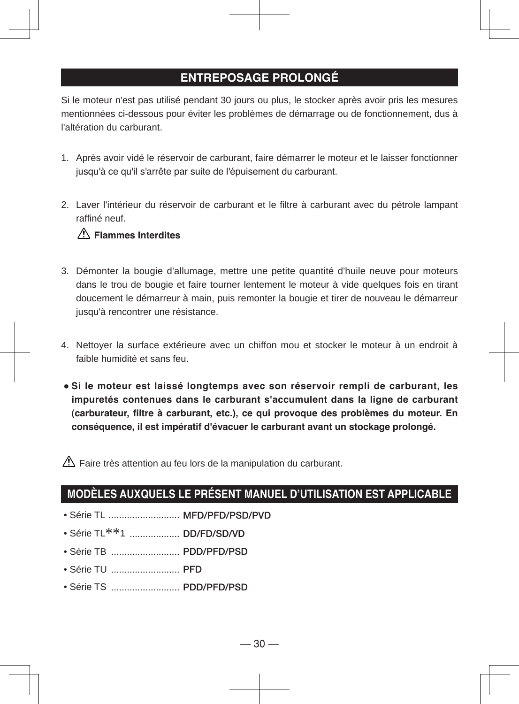#### **ENTREPOSAGE PROLONGÉ**

Si le moteur n'est pas utilisé pendant 30 jours ou plus, le stocker après avoir pris les mesures mentionnées ci-dessous pour éviter les problèmes de démarrage ou de fonctionnement, dus à l'altération du carburant.

- 1. Après avoir vidé le réservoir de carburant, faire démarrer le moteur et le laisser fonctionner jusqu'à ce qu'il s'arrête par suite de l'épuisement du carburant.
- 2. Laver l'intérieur du réservoir de carburant et le filtre à carburant avec du pétrole lampant raffiné neuf.

#### **Flammes Interdites**

- 3. Démonter la bougie d'allumage, mettre une petite quantité d'huile neuve pour moteurs dans le trou de bougie et faire tourner lentement le moteur à vide quelques fois en tirant doucement le démarreur à main, puis remonter la bougie et tirer de nouveau le démarreur jusqu'à rencontrer une résistance.
- 4. Nettoyer la surface extérieure avec un chiffon mou et stocker le moteur à un endroit à faible humidité et sans feu.
- **Si le moteur est laissé longtemps avec son réservoir rempli de carburant, les impuretés contenues dans le carburant s'accumulent dans la ligne de carburant (carburateur, filtre à carburant, etc.), ce qui provoque des problèmes du moteur. En conséquence, il est impératif d'évacuer le carburant avant un stockage prolongé.**

 $\triangle$  Faire très attention au feu lors de la manipulation du carburant.

### **MODÈLES AUXQUELS LE PRÉSENT MANUEL D'UTILISATION EST APPLICABLE**

- Série TL ........................... **MFD/PFD/PSD/PVD**
- Série TL\*\*1 ................... **DD/FD/SD/VD**
- Série TB .......................... **PDD/PFD/PSD**
- Série TU .......................... **PFD**
- Série TS .......................... **PDD/PFD/PSD**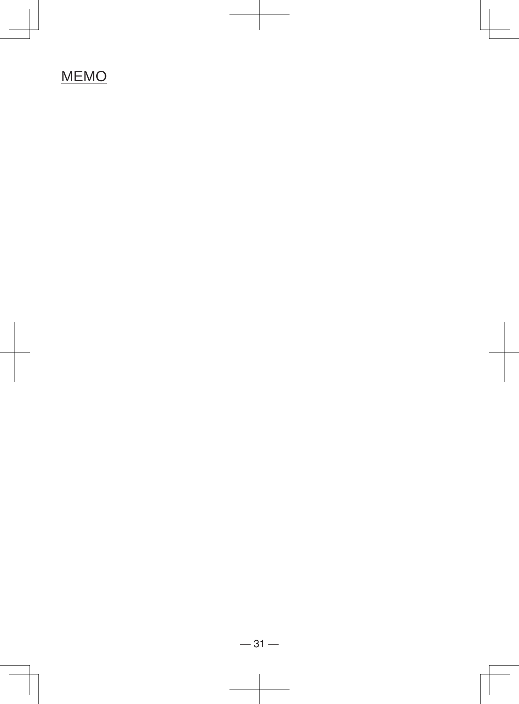# MEMO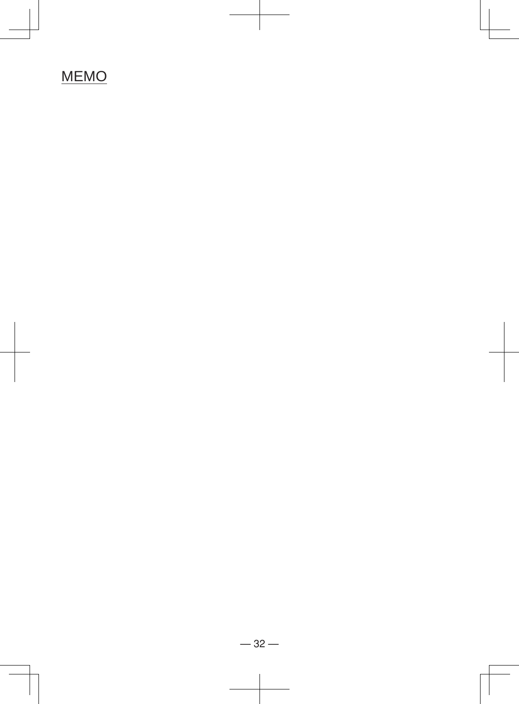# **MEMO**